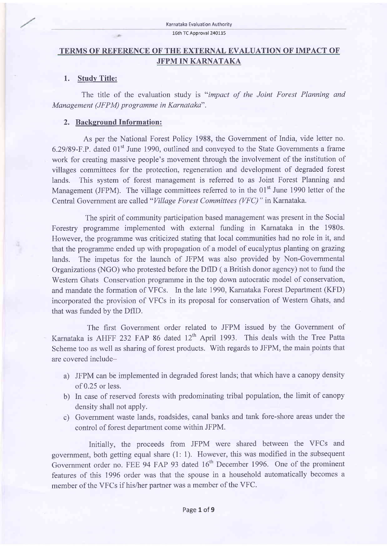#### 16th TC Approval 240115

## TERMS OF REFERENCE OF THE EXTERNAL EVALUATION OF IMPACT OF JFPM IN KARNATAKA

#### 1. Study Title:

The title of the evaluation study is "impact of the Joint Forest Planning and Management (JFPM) programme in Karnataka".

## 2. Background Information:

 $-40$ 

As per the National Forest Policy 1988, the Govemment of India, vide letter no. 6.29189-F.P. dated 01't June 1990, outlined and conveyed to the State Governments a frame work for creating massive people's movement through the involvement of the institution of villages committees for the protection, regeneration and development of degraded forest lands. This system of forest management is referred to as Joint Forest Planning and Management (JFPM). The village committees referred to in the 01<sup>st</sup> June 1990 letter of the Central Government are called "Village Forest Committees (VFC) " in Karnataka.

The spirit of community participation based management was present in the Social Forestry programme implemented with extemal funding in Karnataka in the 1980s. However, the programme was criticized stating that local communities had no role in it, and that the programme ended up with propagation of a model of eucalyptus planting on grazing lands. The impetus for the launch of JFPM was also provided by Non-Governmental Organizations (NGO) who protested before the DfID (a British donor agency) not to fund the Western Ghats Conservation programme in the top down autocratic model of conservation, and mandate the formation of VFCs. In the late 1990, Kamataka Forest Department (KFD) incorporated the provision of VFCs in its proposal for conservation of Western Ghats, and that was funded by the DflD.

The first Government order related to JFPM issued by the Government of Karnataka is AHFF 232 FAP 86 dated  $12<sup>th</sup>$  April 1993. This deals with the Tree Patta Scheme too as well as sharing of forest products. With regards to JFPM, the main points that are covered include-

- a) JFPM can be implemented in degraded forest lands; that which have a canopy density of 0.25 or less.
- b) In case of reserved forests with predominating tribal population, the limit of canopy density shall not apply.
- c) Government waste lands, roadsides, canal banks and tank fore-shore areas under the control of forest department come within JFPM.

Initially, the proceeds from JFPM were shared between the VFCs and government, both getting equal share (1: 1). However, this was modified in the subsequent Government order no. FEE 94 FAP 93 dated 16<sup>th</sup> December 1996. One of the prominent features of this 1996 order was that the spouse in a household automatically becomes <sup>a</sup> member of the VFCs if his/her partner was a member of the VFC.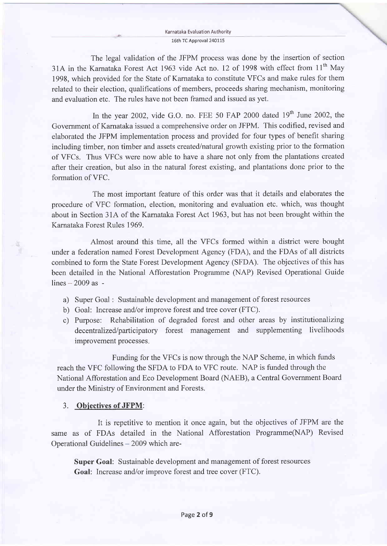#### Karnataka Evaluation Authoritv 16th TC Approval 24OII5

The legal validation of the JFPM process was done by the insertion of section 31A in the Karnataka Forest Act 1963 vide Act no. 12 of 1998 with effect from  $11<sup>th</sup>$  May 1998, which provided for the State of Karnataka to constitute VFCs and make rules for them related to their election, qualifications of members, proceeds sharing mechanism, monitoring and evaluation etc. The rules have not been framed and issued as yet.

In the year 2002, vide G.O. no. FEE 50 FAP 2000 dated  $19<sup>th</sup>$  June 2002, the Government of Kamataka issued a comprehensive order on JFPM. This codified, revised and elaborated the JFPM implementation process and provided for four types of benefit sharing including timber, non timber and assets created/natural growth existing prior to the formation of VFCs. Thus VFCs were now able to have a share not only from the plantations created after their creation, but also in the natural forest existing, and plantations done prior to the formation of VFC.

The most important feature of this order was that it details and elaborates the procedure of VFC formation, election, monitoring and evaluation etc. which, was thought about in Section 31A of the Karnataka Forest Act 1963. but has not been brought within the Karnataka Forest Rules 1969.

Almost around this time, all the VFCs formed within a district were bought under a federation named Forest Development Agency (FDA), and the FDAs of all districts combined to form the State Forest Development Agency (SFDA). The objectives of this has been detailed in the National Afforestation Programme (NAP) Revised Operational Guide  $lines - 2009$  as -

- a) Super Goal : Sustainable development and management of forest resources
- b) Goal: Increase and/or improve forest and tree cover (FTC).
- c) Purpose: Rehabilitation of degraded forest and other areas by institutionalizing decentralized/participatory forest management and supplementing livelihoods improvement processes

Funding for the VFCs is now through the NAP Scheme, in which funds reach the VFC following the SFDA to FDA to VFC route. NAP is funded through the National Afforestation and Eco Development Board (NAEB), a Central Government Board under the Ministry of Environment and Forests.

#### 3. Obiectives of JFPM:

It is repetitive to mention it once again, but the objectives of JFPM are the same as of FDAs detailed in the National Afforestation Programme(NAP) Revised Operational Guidelines - 2009 which are-

Super Goal: Sustainable development and management of forest resources Goal: Increase and/or improve forest and tree cover (FTC).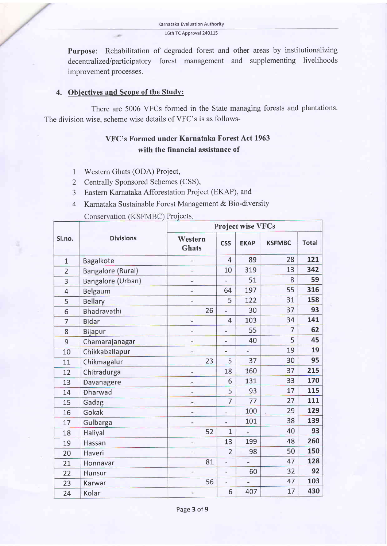Purpose: Rehabilitation of degraded forest and other areas by institutionalizing decentralized/participatory forest management and supplementing livelihoods improvement processes.

#### 4. Obiectives and Scope of the Studv:

There are 5006 VFCs formed in the State managing forests and plantations. The division wise, scheme wise details of VFC's is as follows-

# VFC's Formed under Karnataka Forest Act 1963 with the financial assistance of

- 1 Western Ghats (ODA) Project,
- 2 Centrally Sponsored Schemes (CSS),
- 3 Eastern Karnataka Afforestation Project (EKAP), and
- 4 Karnataka Sustainable Forest Management & Bio-diversity

Conservation (KSFMBC) Projects.

| Sl.no.         | <b>Divisions</b>         | Project wise VFCs        |                |             |               |              |  |
|----------------|--------------------------|--------------------------|----------------|-------------|---------------|--------------|--|
|                |                          | Western<br><b>Ghats</b>  | <b>CSS</b>     | <b>EKAP</b> | <b>KSFMBC</b> | <b>Total</b> |  |
| $\mathbf{1}$   | Bagalkote                | ä,                       | 4              | 89          | 28            | 121          |  |
| $\overline{2}$ | <b>Bangalore (Rural)</b> |                          | 10             | 319         | 13            | 342          |  |
| 3              | Bangalore (Urban)        | ÷                        | ¥              | 51          | 8             | 59           |  |
| $\overline{4}$ | Belgaum                  | $\overline{\phantom{m}}$ | 64             | 197         | 55            | 316          |  |
| 5              | <b>Bellary</b>           | $\overline{\phantom{a}}$ | 5              | 122         | 31            | 158          |  |
| 6              | Bhadravathi              | 26                       | ä,             | 30          | 37            | 93           |  |
| $\overline{7}$ | <b>Bidar</b>             | u,                       | $\overline{4}$ | 103         | 34            | 141          |  |
| 8              | <b>Bijapur</b>           | ٠                        | Ξ              | 55          | 7             | 62           |  |
| 9              | Chamarajanagar           | $\frac{1}{2}$            | Ξ              | 40          | 5             | 45           |  |
| 10             | Chikkaballapur           |                          | z              |             | 19            | 19           |  |
| 11             | Chikmagalur              | 23                       | 5              | 37          | 30            | 95           |  |
| 12             | Chitradurga              |                          | 18             | 160         | 37            | 215          |  |
| 13             | Davanagere               |                          | 6              | 131         | 33            | 170          |  |
| 14             | <b>Dharwad</b>           |                          | 5              | 93          | 17            | 115          |  |
| 15             | Gadag                    |                          | $\overline{7}$ | 77          | 27            | 111          |  |
| 16             | Gokak                    |                          | $\overline{a}$ | 100         | 29            | 129          |  |
| 17             | Gulbarga                 | $\frac{1}{2}$            | ÷              | 101         | 38            | 139          |  |
| 18             | Haliyal                  | 52                       | $\overline{1}$ |             | 40            | 93           |  |
| 19             | Hassan                   | w.                       | 13             | 199         | 48            | 260          |  |
| 20             | Haveri                   | ٠                        | $\overline{2}$ | 98          | 50            | 150          |  |
| 21             | Honnavar                 | 81                       | $\frac{1}{2}$  |             | 47            | 128          |  |
| 22             | Hunsur                   | ù,                       | ä              | 60          | 32            | 92           |  |
| 23             | Karwar                   | 56                       | ä,             |             | 47            | 103          |  |
| 24             | Kolar                    | $\overline{\phantom{a}}$ | 6              | 407         | 17            | 430          |  |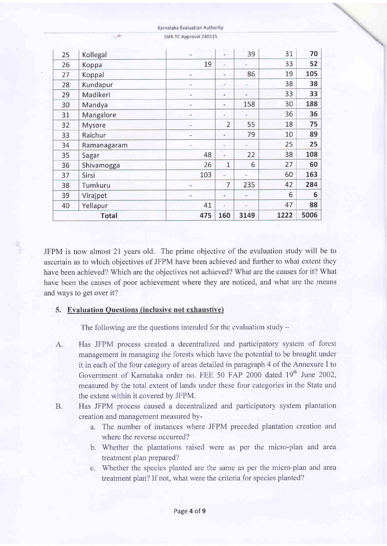| <b>Total</b> |             | 475                      | 160                      | 3149 | 1222 | 5006 |
|--------------|-------------|--------------------------|--------------------------|------|------|------|
| 40           | Yellapur    | 41                       | u,                       | ۷    | 47   | 88   |
| 39           | Virajpet    | $\frac{1}{2}$            | $\overline{a}$           | ۰    | 6    | 6    |
| 38           | Tumkuru     | $\sim$                   | $\overline{7}$           | 235  | 42   | 284  |
| 37           | Sirsi       | 103                      | $\blacksquare$           |      | 60   | 163  |
| 36           | Shivamogga  | 26                       | $\mathbf{1}$             | 6    | 27   | 60   |
| 35           | Sagar       | 48                       | $\overline{\phantom{a}}$ | 22   | 38   | 108  |
| 34           | Ramanagaram |                          | $\overline{\phantom{a}}$ |      | 25   | 25   |
| 33           | Raichur     |                          | $\rightarrow$            | 79   | 10   | 89   |
| 32           | Mysore      |                          | $\overline{2}$           | 55   | 18   | 75   |
| 31           | Mangalore   | ×                        | ÷                        | -    | 36   | 36   |
| 30           | Mandya      | $\sim$                   | ٠                        | 158  | 30   | 188  |
| 29           | Madikeri    | $\overline{\phantom{a}}$ | $\frac{1}{2}$            |      | 33   | 33   |
| 28           | Kundapur    | -                        | $\overline{\phantom{a}}$ |      | 38   | 38   |
| 27           | Koppal      | -                        | $\overline{a}$           | 86   | 19   | 105  |
| 26           | Koppa       | 19                       | u                        |      | 33   | 52   |
| 25           | Kollegal    | ×                        | $\frac{1}{2}$            | 39   | 31   | 70   |

Karnataka Evaluation Authoritv

16th TC Approval 240115

JFPM is now almost 21 years old. The prime objective of the evaluation study will be to ascertain as to which objectives of JFPM have been achieved and further to what extent they have been achieved? Which are the objectives not achieved? What are the causes for it? What have been the causes of poor achievement where they are noticed, and what are the means and ways to get over it?

## 5. Evaluation Ouestions (inclusive not exhaustive)

The following are the questions intended for the evaluation study  $-$ 

- Has JFPM process created a decentralized and participatory system of forest management in managing the forests which have ihe potential to be brought under it in each of the four category of areas detailed in paragraph 4 of the Annexure I to Government of Karnataka order no. FEE 50 FAP 2000 dated 19<sup>th</sup> June 2002, measured by the total extent of lands under these four categories in the State and the extent within it covered by JFPM. A.
- Has JFPM process caused a decentralized and participatory system plantation creation and management measured by-B.
	- a. The number of instances where JFPM preceded plantation creation and where the reverse occurred?
	- b. Whether the plantations raised were as per the micro-plan and area treatment plan prepared?
	- c. Whether the species planted are the same as per the micro-plan and area treatment plan? If not, what were the criteria for species planted?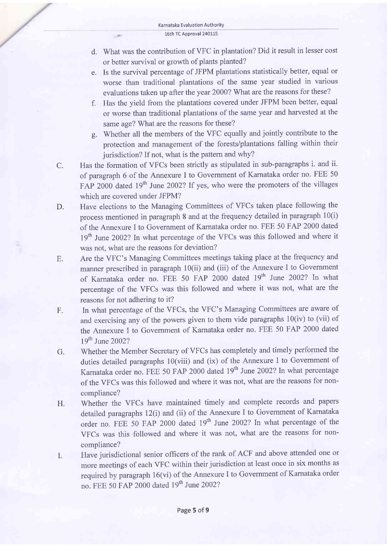$-40$ 

- d. What was the contribution of VFC in plantation? Did it result in lesser cost or better survival or growth of plants planted?
- e. Is the survival percentage of JFPM plantations statistically better, equal or worse than traditional plantations of the same year studied in various evaluations taken up after the year 2000? What are the reasons for these?
- f. Has the yield from the plantations covered under JFPM been better, equal or worse than traditional plantations of the same year and harvested at the same age? What are the reasons for these?
- g. Whether all the members of the VFC equally and jointly contribute to the protection and management of the forests/plantations falling within their jurisdiction? If not, what is the pattern and why?
- C. Has the formation of VFCs been strictly as stipulated in sub-paragraphs i. and ii. of paragraph 6 of the Annexure I to Government of Karnataka order no. FEE <sup>50</sup> FAP 2000 dated 19<sup>th</sup> June 2002? If yes, who were the promoters of the villages which are covered under JFPM?
- D. Have elections to the Managing Committees of VFCs taken place following the process mentioned in paragraph 8 and at the frequency detailed in paragraph 10(i) of the Annexure I to Government of Karnataka order no. FEE 50 FAP 2000 dated 19<sup>th</sup> June 2002? In what percentage of the VFCs was this followed and where it was not, what are the reasons for deviation?
- E. Are the VFC's Managing Committees meetings taking place at the frequency and manner prescribed in paragraph 10(ii) and (iii) of the Annexure I to Government of Karnataka order no. FEE 50 FAP 2000 dated 19<sup>th</sup> June 2002? In what percentage of the VFCs was this followed and where it was not, what are the reasons for not adhering to it?
- F. In what percentage of the VFCs, the VFC's Managing Committees are aware of and exercising any of the powers given to them vide paragraphs 10(iv) to (vii) of the Annexure I to Govemment of Karnataka order no. FEE 50 FAP 2000 dated 19<sup>th</sup> June 2002?
- Whether the Member Secretary of VFCs has completely and timely performed the duties detailed paragraphs l0(viii) and (ix) of the Annexure I to Govemment of Karnataka order no. FEE 50 FAP 2000 dated 19<sup>th</sup> June 2002? In what percentage of the VFCs was this followed and where it was not, what are the reasons for noncompliance? G.
- Whether the VFCs have maintained timely and complete records and papers detailed paragraphs l2(i) and (ii) of the Annexure I to Government of Karnataka order no. FEE 50 FAP 2000 dated 19<sup>th</sup> June 2002? In what percentage of the VFCs was this followed and where it was not, what are the reasons for noncompliance? H.
- Have jurisdictional senior officers of the rank of ACF and above attended one or Ι. more meetings of each VFC within their jurisdiction at least once in six months as required by paragraph 16(vi) of the Annexure I to Government of Karnataka order no. FEE 50 FAP 2000 dated 19<sup>th</sup> June 2002?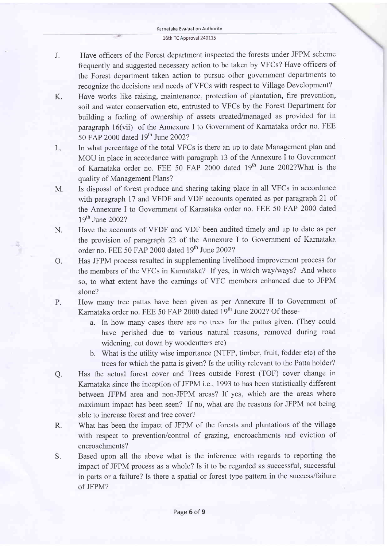- J. Have officers of the Forest department inspected the forests under JFPM scheme frequently and suggested necessary action to be taken by VFCs? Have officers of the Forest department taken action to pursue other government departments to recognize the decisions and needs of VFCs with respect to Village Development?
- K. Have works like raising, maintenance, protection of plantation, fire prevention, soil and water conservation etc, entrusted to VFCs by the Forest Department for building a feeling of ownership of assets created/managed as provided for in paragraph 16(vii) of the Annexure I to Government of Karnataka order no. FEE 50 FAP 2000 dated l9'h June 2002?
- L, In what percentage of the total VFCs is there an up to date Management plan and MOU in place in accordance with paragraph 13 of the Annexure I to Government of Karnataka order no. FEE 50 FAP 2000 dated 19<sup>th</sup> June 2002?What is the quality of Management Plans?
- M. Is disposal of forest produce and sharing taking place in all VFCs in accordance with paragraph 17 and VFDF and VDF accounts operated as per paragraph 2I of the Annexure I to Government of Karnataka order no. FEE 50 FAP 2000 dated 19th June 2002?
- N. Have the accounts of VFDF and VDF been audited timely and up to date as per the provision of paragraph 22 of the Annexure I to Government of Karnataka order no. FEE 50 FAP 2000 dated 19<sup>th</sup> June 2002?
- o. Has JFPM process resulted in supplementing livelihood improvement process for the members of the VFCs in Karnataka? If yes, in which way/ways? And where so, to what extent have the earnings of VFC members enhanced due to JFPM alone?
- P. How many tree pattas have been given as per Annexure II to Government of Karnataka order no. FEE 50 FAP 2000 dated 19<sup>th</sup> June 2002? Of these
	- a. In how many cases there are no trees for the pattas given. (They could have perished due to various natural reasons, removed during road widening, cut down by woodcutters etc)
	- b. What is the utility wise importance (NTFP, timber, fruit, fodder etc) of the trees for which the patta is given? Is the utility relevant to the Patta holder?
- a. Has the actual forest cover and Trees outside Forest (TOF) cover change in Karnataka since the inception of JFPM i.e.,1993 to has been statistically different between JFPM area and non-JFPM areas? If yes, which are the areas where maximum impact has been seen? If no, what are the reasons for JFPM not being able to increase forest and tree cover?
- R. What has been the impact of JFPM of the forests and plantations of the village with respect to prevention/control of grazing, encroachments and eviction of encroachments?
- S. Based upon all the above what is the inference with regards to reporting the impact of JFPM process as a whole? Is it to be regarded as successful, successful in parts or a failure? Is there a spatial or forest type pattern in the success/failure of JFPM?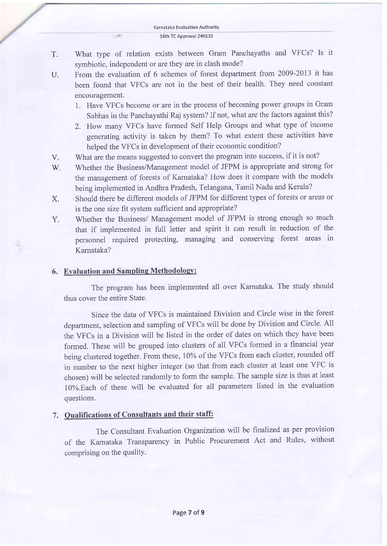16th TC Approval 240115

- T. What type of relation exists between Gram Panchayaths and VFCs? Is it symbiotic, independent or are they are in clash mode?
- U. From the evaluation of 6 schemes of forest department from 2009 -2013 it has been found that VFCs are not in the best of their health. They need constant encouragement.
	- 1. Have VFCs become or are in the process of becoming power groups in Gram Sabhas in the Panchayathi Raj system? If not, what are the factors against this?
	- 2. How many VFCs have formed Self Help Groups and what type of income generating activity is taken by them? To what extent these activities have helped the VFCs in development of their economic condition?
- What are the means suggested to convert the program into success, if it is not? V.
- Whether the Business/Management model of JFPM is appropriate and strong for the management of forests of Karnataka? How does it compare with the models being implemented in Andhra Pradesh, Telangana, Tamil Nadu and Kerala? w.
- Should there be different models of JFPM for different types of forests or areas or is the one size fit system sufficient and appropriate? X.
- Whether the Business/ Management model of JFPM is strong enough so much that if implemented in full letter and spirit it can result in reduction of the personnel required protecting, managing and conserving forest areas in Karnataka? Y.

#### 6. Evaluation and Sampling Methodology:

 $-40$ 

The program has been implemented all over Karnataka. The study should thus cover the entire State.

Since the data of VFCs is maintained Division and Circle wise in the forest depaftment, selection and sampling of VFCs will be done by Division and Circle. All the VFCs in a Division will be listed in the order of dates on which they have been formed. These will be grouped into clusters of all VFCs formed in a financial year being clustered together. From these, 10% of the VFCs from each cluster, rounded off in number to the next higher integer (so that from each cluster at least one VFC is chosen) will be selected randomly to form the sample. The sample size is thus at least 10%.Each of these will be evaluated for all parameters listed in the evaluation questions.

## 7. Qualifications of Consultants and their staff:

The Consultant Evaluation Organization will be finalized as per provision of the Karnataka Transparency in Public Procurement Act and Rules, without comprising on the qualitY.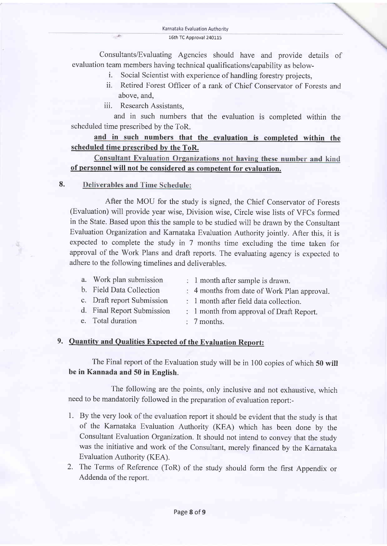Consultants/Evaluating Agencies should have and provide details of evaluation team members having technical qualifications/capability as below-

- i. Social Scientist with experience of handling forestry projects,
- ii. Retired Forest Officer of a rank of Chief Conservator of Forests and above, and,
- iii. Research Assistants,

and in such numbers that the evaluation is completed within the scheduled time prescribed by the ToR.

## and in such numbers that the evaluation is completed within the scheduled time prescribed by the ToR.

Consultant Evaluation Organizations not having these number and kind of personnel will not be considered as competent for evaluation.

#### 8. **Deliverables and Time Schedule:**

After the MOU for the study is signed, the Chief Conservator of Forests (Evaluation) will provide year wise, Division wise, Circle wise lists of VFCs formed in the State. Based upon this the sample to be studied will be drawn by the Consultant Evaluation Organization and Karnataka Evaluation Authority jointly. After this, it is expected to complete the study in 7 months time excluding the time taken for approval of the Work Plans and draft reports. The evaluating agency is expected to adhere to the following timelines and deliverables.

| a. Work plan submission    | $\therefore$ 1 month after sample is drawn.       |
|----------------------------|---------------------------------------------------|
| b. Field Data Collection   | : 4 months from date of Work Plan approval.       |
| c. Draft report Submission | $\therefore$ 1 month after field data collection. |

- d. Final Report Submission
- e. Total duration
- 1 month from approval of Draft Report.
- 7 months.

## 9. Ouantitv and Oualities Expected of the Evaluation Report:

The Final report of the Evaluation study will be in 100 copies of which 50 will be in Kannada and 50 in English.

The following are the points, only inclusive and not exhaustive, which need to be mandatorily followed in the preparation of evaluation report:-

- 1. By the very look of the evaluation report it should be evident that the study is that of the Karnataka Evaluation Authority (KEA) which has been done by the Consultant Evaluation Organization. It should not intend to convey that the study was the initiative and work of the Consultant, merely financed by the Karnataka Evaluation Authority (KEA).
- 2. The Terms of Reference (ToR) of the study should form the first Appendix or Addenda of the report.